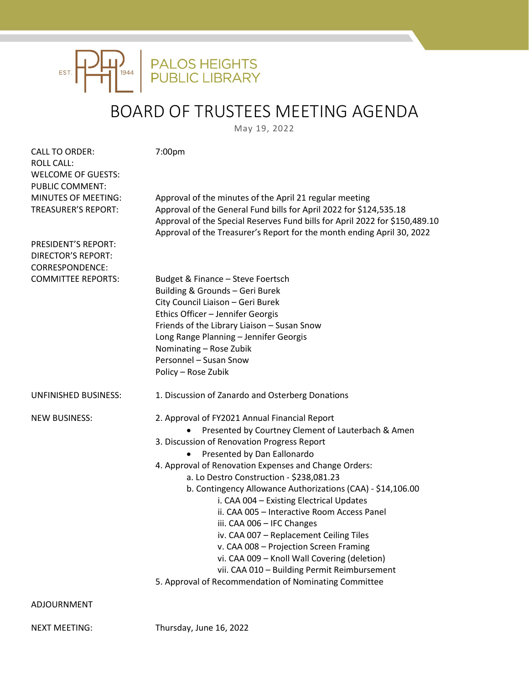

## BOARD OF TRUSTEES MEETING AGENDA

May 19, 2022

| <b>CALL TO ORDER:</b><br><b>ROLL CALL:</b><br><b>WELCOME OF GUESTS:</b><br>PUBLIC COMMENT: | 7:00pm                                                                                                                                                                                                                                                                                                                                                                                                                                                                                                                                                                                                                                                                                                                       |
|--------------------------------------------------------------------------------------------|------------------------------------------------------------------------------------------------------------------------------------------------------------------------------------------------------------------------------------------------------------------------------------------------------------------------------------------------------------------------------------------------------------------------------------------------------------------------------------------------------------------------------------------------------------------------------------------------------------------------------------------------------------------------------------------------------------------------------|
| MINUTES OF MEETING:<br><b>TREASURER'S REPORT:</b>                                          | Approval of the minutes of the April 21 regular meeting<br>Approval of the General Fund bills for April 2022 for \$124,535.18<br>Approval of the Special Reserves Fund bills for April 2022 for \$150,489.10<br>Approval of the Treasurer's Report for the month ending April 30, 2022                                                                                                                                                                                                                                                                                                                                                                                                                                       |
| <b>PRESIDENT'S REPORT:</b><br><b>DIRECTOR'S REPORT:</b><br>CORRESPONDENCE:                 |                                                                                                                                                                                                                                                                                                                                                                                                                                                                                                                                                                                                                                                                                                                              |
| <b>COMMITTEE REPORTS:</b>                                                                  | Budget & Finance - Steve Foertsch<br>Building & Grounds - Geri Burek<br>City Council Liaison - Geri Burek<br>Ethics Officer - Jennifer Georgis<br>Friends of the Library Liaison - Susan Snow<br>Long Range Planning - Jennifer Georgis<br>Nominating - Rose Zubik<br>Personnel - Susan Snow<br>Policy - Rose Zubik                                                                                                                                                                                                                                                                                                                                                                                                          |
| UNFINISHED BUSINESS:                                                                       | 1. Discussion of Zanardo and Osterberg Donations                                                                                                                                                                                                                                                                                                                                                                                                                                                                                                                                                                                                                                                                             |
| <b>NEW BUSINESS:</b>                                                                       | 2. Approval of FY2021 Annual Financial Report<br>Presented by Courtney Clement of Lauterbach & Amen<br>3. Discussion of Renovation Progress Report<br>Presented by Dan Eallonardo<br>4. Approval of Renovation Expenses and Change Orders:<br>a. Lo Destro Construction - \$238,081.23<br>b. Contingency Allowance Authorizations (CAA) - \$14,106.00<br>i. CAA 004 - Existing Electrical Updates<br>ii. CAA 005 - Interactive Room Access Panel<br>iii. CAA 006 - IFC Changes<br>iv. CAA 007 - Replacement Ceiling Tiles<br>v. CAA 008 - Projection Screen Framing<br>vi. CAA 009 - Knoll Wall Covering (deletion)<br>vii. CAA 010 - Building Permit Reimbursement<br>5. Approval of Recommendation of Nominating Committee |
| ADJOURNMENT                                                                                |                                                                                                                                                                                                                                                                                                                                                                                                                                                                                                                                                                                                                                                                                                                              |

NEXT MEETING: Thursday, June 16, 2022